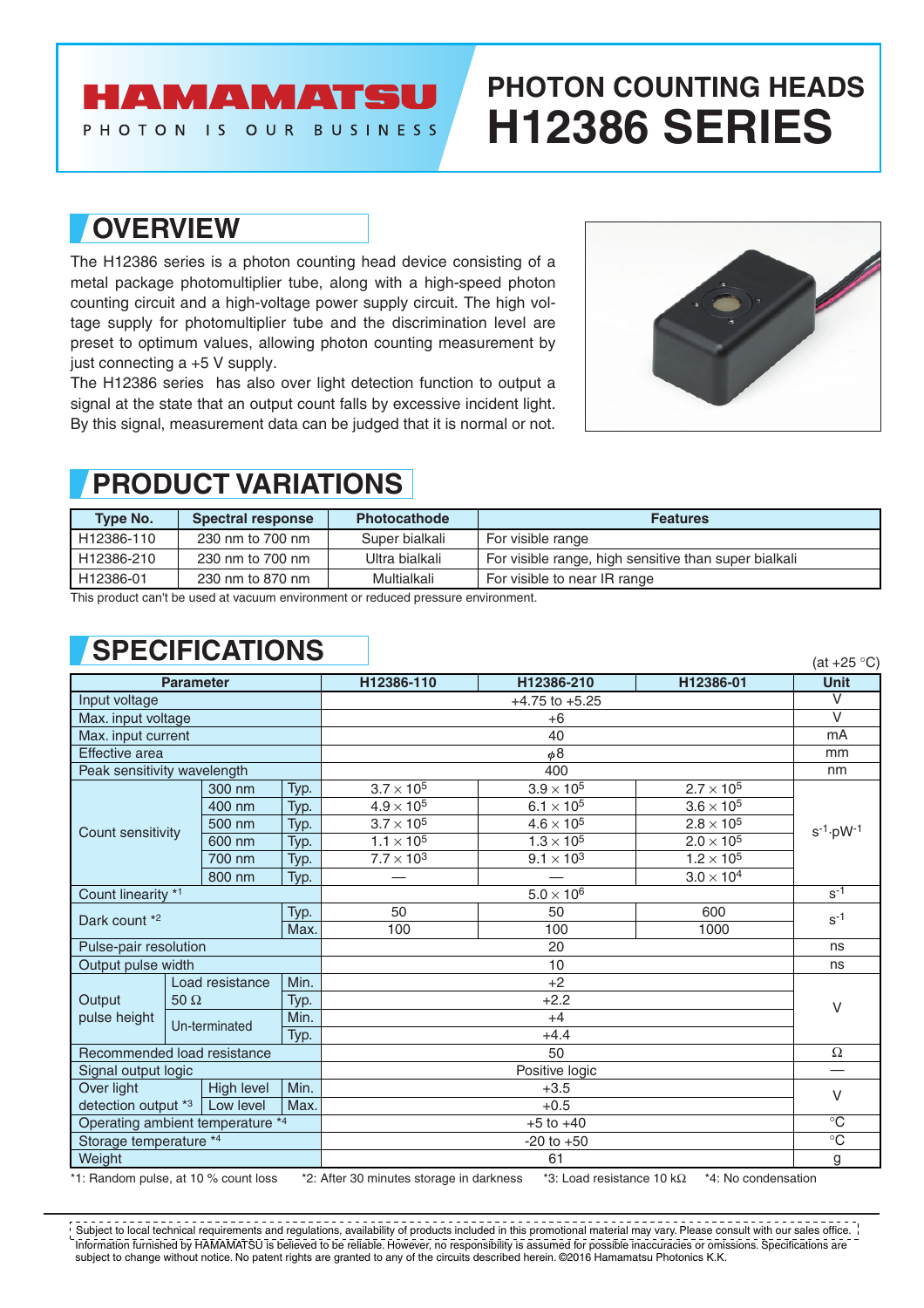## **AMAMATSU**

PHOTON IS OUR BUSINESS

# **PHOTON COUNTING HEADS H12386 SERIES**

#### **OVERVIEW**

The H12386 series is a photon counting head device consisting of a metal package photomultiplier tube, along with a high-speed photon counting circuit and a high-voltage power supply circuit. The high voltage supply for photomultiplier tube and the discrimination level are preset to optimum values, allowing photon counting measurement by just connecting a +5 V supply.

The H12386 series has also over light detection function to output a signal at the state that an output count falls by excessive incident light. By this signal, measurement data can be judged that it is normal or not.



## **PRODUCT VARIATIONS**

| <b>Type No.</b> | <b>Spectral response</b> | <b>Photocathode</b> | <b>Features</b>                                       |  |
|-----------------|--------------------------|---------------------|-------------------------------------------------------|--|
| H12386-110      | 230 nm to 700 nm         | Super bialkali      | For visible range                                     |  |
| H12386-210      | 230 nm to 700 nm         | Ultra bialkali      | For visible range, high sensitive than super bialkali |  |
| H12386-01       | 230 nm to 870 nm         | Multialkali         | For visible to near IR range                          |  |

This product can't be used at vacuum environment or reduced pressure environment.

## **SPECIFICATIONS**

|                                  |               |                 |      |                     |                     |                              | (at +25 °C)             |  |
|----------------------------------|---------------|-----------------|------|---------------------|---------------------|------------------------------|-------------------------|--|
| <b>Parameter</b>                 |               |                 |      | H12386-110          | H12386-210          | H12386-01                    | <b>Unit</b>             |  |
| Input voltage                    |               |                 |      | $+4.75$ to $+5.25$  |                     |                              | $\vee$                  |  |
| Max. input voltage               |               |                 |      | $+6$                |                     |                              | $\overline{\mathsf{V}}$ |  |
| Max. input current               |               |                 |      | 40                  |                     |                              | mA                      |  |
| Effective area                   |               |                 |      | $\phi$ 8            |                     |                              | mm                      |  |
| Peak sensitivity wavelength      |               |                 |      | 400                 |                     |                              | nm                      |  |
|                                  |               | 300 nm          | Typ. | $3.7\times10^5$     | $3.9 \times 10^5$   | $2.7 \times 10^{5}$          |                         |  |
|                                  |               | 400 nm          | Typ. | $4.9\times10^5$     | $6.1\times10^5$     | $3.6 \times 10^5$            |                         |  |
| Count sensitivity                |               | 500 nm          | Typ. | $3.7 \times 10^5$   | $4.6 \times 10^5$   | $2.8\times10^5$              | $s^{-1} \cdot pW^{-1}$  |  |
|                                  |               | 600 nm          | Typ. | $1.1 \times 10^{5}$ | $1.3 \times 10^{5}$ | $2.0 \times \overline{10^5}$ |                         |  |
|                                  |               | 700 nm          | Typ. | $7.7 \times 10^{3}$ | $9.1\times10^3$     | $1.2 \times 10^{5}$          |                         |  |
|                                  |               | 800 nm          | Typ. |                     |                     | $3.0 \times 10^4$            |                         |  |
| Count linearity *1               |               |                 |      | $5.0 \times 10^{6}$ |                     |                              | $s-1$                   |  |
| Typ.<br>Dark count *2<br>Max.    |               |                 | 50   | 50                  | 600                 | $S-1$                        |                         |  |
|                                  |               |                 | 100  | 100                 | 1000                |                              |                         |  |
| Pulse-pair resolution            |               |                 |      | 20                  |                     |                              | ns                      |  |
| Output pulse width               |               |                 |      | 10                  |                     |                              | ns                      |  |
| Output<br>pulse height           |               | Load resistance |      | $+2$                |                     |                              | $\vee$                  |  |
|                                  | $50 \Omega$   |                 |      |                     |                     |                              |                         |  |
|                                  | Un-terminated |                 | Min. |                     |                     |                              |                         |  |
|                                  |               |                 | Typ. |                     |                     |                              |                         |  |
| Recommended load resistance      |               |                 |      | 50                  |                     |                              | Ω                       |  |
| Signal output logic              |               |                 |      | Positive logic      |                     |                              |                         |  |
| Over light                       |               | High level      | Min. |                     | $\vee$              |                              |                         |  |
| detection output *3              |               | Low level       | Max. |                     |                     |                              |                         |  |
| Operating ambient temperature *4 |               |                 |      | $+5$ to $+40$       |                     |                              | $^{\circ}C$             |  |
| Storage temperature *4           |               |                 |      | $-20$ to $+50$      |                     |                              | $\overline{C}$          |  |
| Weight                           |               |                 |      | 61                  |                     |                              | g                       |  |

\*1: Random pulse, at 10 % count loss \*2: After 30 minutes storage in darkness \*3: Load resistance 10 kΩ \*4: No condensation

Information furnished by HAMAMATSU is believed to be reliable. However, no responsibility is assumed for possible inaccuracies or omissions. Specifications are subject to change without notice. No patent rights are granted to any of the circuits described herein. ©2016 Hamamatsu Photonics K.K. Subject to local technical requirements and regulations, availability of products included in this promotional material may vary. Please consult with our sales office.